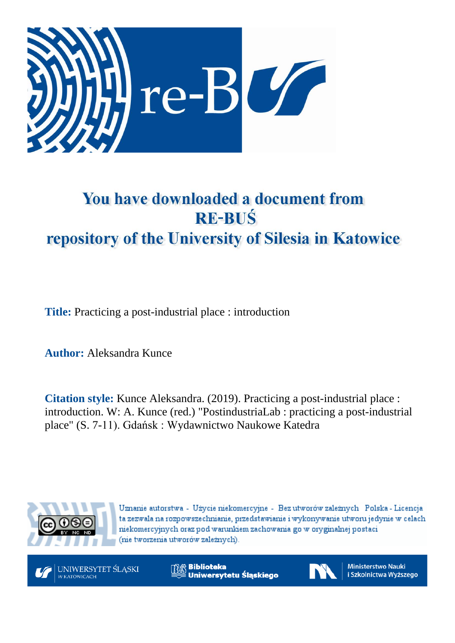

## You have downloaded a document from **RE-BUŚ** repository of the University of Silesia in Katowice

**Title:** Practicing a post-industrial place : introduction

**Author:** Aleksandra Kunce

**Citation style:** Kunce Aleksandra. (2019). Practicing a post-industrial place : introduction. W: A. Kunce (red.) "PostindustriaLab : practicing a post-industrial place" (S. 7-11). Gdańsk : Wydawnictwo Naukowe Katedra



Uznanie autorstwa - Użycie niekomercyjne - Bez utworów zależnych Polska - Licencja ta zezwala na rozpowszechnianie, przedstawianie i wykonywanie utworu jedynie w celach niekomercyjnych oraz pod warunkiem zachowania go w oryginalnej postaci (nie tworzenia utworów zależnych).



**Biblioteka** Uniwersytetu Śląskiego



**Ministerstwo Nauki** i Szkolnictwa Wyższego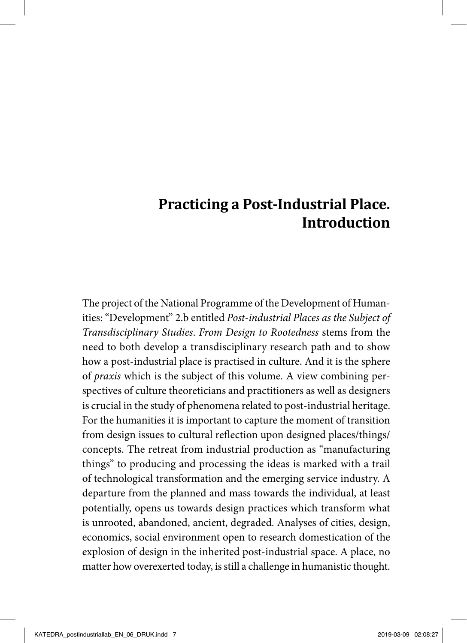## **Practicing a Post-Industrial Place. Introduction**

The project of the National Programme of the Development of Humanities: "Development" 2.b entitled *Post-industrial Places as the Subject of Transdisciplinary Studies*. *From Design to Rootedness* stems from the need to both develop a transdisciplinary research path and to show how a post-industrial place is practised in culture. And it is the sphere of *praxis* which is the subject of this volume. A view combining perspectives of culture theoreticians and practitioners as well as designers is crucial in the study of phenomena related to post-industrial heritage. For the humanities it is important to capture the moment of transition from design issues to cultural reflection upon designed places/things/ concepts. The retreat from industrial production as "manufacturing things" to producing and processing the ideas is marked with a trail of technological transformation and the emerging service industry. A departure from the planned and mass towards the individual, at least potentially, opens us towards design practices which transform what is unrooted, abandoned, ancient, degraded. Analyses of cities, design, economics, social environment open to research domestication of the explosion of design in the inherited post-industrial space. A place, no matter how overexerted today, is still a challenge in humanistic thought.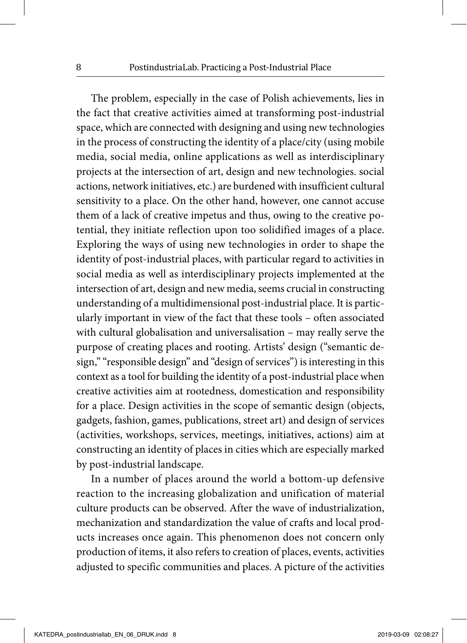The problem, especially in the case of Polish achievements, lies in the fact that creative activities aimed at transforming post-industrial space, which are connected with designing and using new technologies in the process of constructing the identity of a place/city (using mobile media, social media, online applications as well as interdisciplinary projects at the intersection of art, design and new technologies. social actions, network initiatives, etc.) are burdened with insufficient cultural sensitivity to a place. On the other hand, however, one cannot accuse them of a lack of creative impetus and thus, owing to the creative potential, they initiate reflection upon too solidified images of a place. Exploring the ways of using new technologies in order to shape the identity of post-industrial places, with particular regard to activities in social media as well as interdisciplinary projects implemented at the intersection of art, design and new media, seems crucial in constructing understanding of a multidimensional post-industrial place. It is particularly important in view of the fact that these tools – often associated with cultural globalisation and universalisation – may really serve the purpose of creating places and rooting. Artists' design ("semantic design," "responsible design" and "design of services") is interesting in this context as a tool for building the identity of a post-industrial place when creative activities aim at rootedness, domestication and responsibility for a place. Design activities in the scope of semantic design (objects, gadgets, fashion, games, publications, street art) and design of services (activities, workshops, services, meetings, initiatives, actions) aim at constructing an identity of places in cities which are especially marked by post-industrial landscape.

In a number of places around the world a bottom-up defensive reaction to the increasing globalization and unification of material culture products can be observed. After the wave of industrialization, mechanization and standardization the value of crafts and local products increases once again. This phenomenon does not concern only production of items, it also refers to creation of places, events, activities adjusted to specific communities and places. A picture of the activities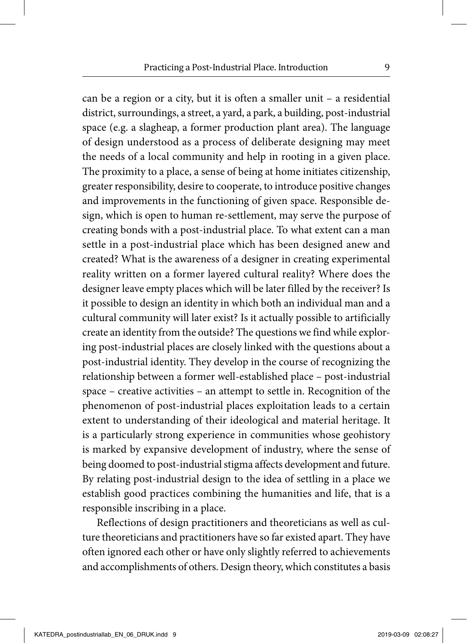can be a region or a city, but it is often a smaller unit – a residential district, surroundings, a street, a yard, a park, a building, post-industrial space (e.g. a slagheap, a former production plant area). The language of design understood as a process of deliberate designing may meet the needs of a local community and help in rooting in a given place. The proximity to a place, a sense of being at home initiates citizenship, greater responsibility, desire to cooperate, to introduce positive changes and improvements in the functioning of given space. Responsible design, which is open to human re-settlement, may serve the purpose of creating bonds with a post-industrial place. To what extent can a man settle in a post-industrial place which has been designed anew and created? What is the awareness of a designer in creating experimental reality written on a former layered cultural reality? Where does the designer leave empty places which will be later filled by the receiver? Is it possible to design an identity in which both an individual man and a cultural community will later exist? Is it actually possible to artificially create an identity from the outside? The questions we find while exploring post-industrial places are closely linked with the questions about a post-industrial identity. They develop in the course of recognizing the relationship between a former well-established place – post-industrial space – creative activities – an attempt to settle in. Recognition of the phenomenon of post-industrial places exploitation leads to a certain extent to understanding of their ideological and material heritage. It is a particularly strong experience in communities whose geohistory is marked by expansive development of industry, where the sense of being doomed to post-industrial stigma affects development and future. By relating post-industrial design to the idea of settling in a place we establish good practices combining the humanities and life, that is a responsible inscribing in a place.

Reflections of design practitioners and theoreticians as well as culture theoreticians and practitioners have so far existed apart. They have often ignored each other or have only slightly referred to achievements and accomplishments of others. Design theory, which constitutes a basis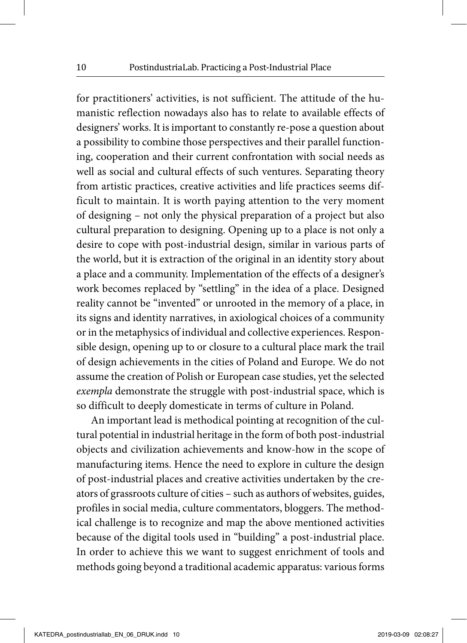for practitioners' activities, is not sufficient. The attitude of the humanistic reflection nowadays also has to relate to available effects of designers' works. It is important to constantly re-pose a question about a possibility to combine those perspectives and their parallel functioning, cooperation and their current confrontation with social needs as well as social and cultural effects of such ventures. Separating theory from artistic practices, creative activities and life practices seems difficult to maintain. It is worth paying attention to the very moment of designing – not only the physical preparation of a project but also cultural preparation to designing. Opening up to a place is not only a desire to cope with post-industrial design, similar in various parts of the world, but it is extraction of the original in an identity story about a place and a community. Implementation of the effects of a designer's work becomes replaced by "settling" in the idea of a place. Designed reality cannot be "invented" or unrooted in the memory of a place, in its signs and identity narratives, in axiological choices of a community or in the metaphysics of individual and collective experiences. Responsible design, opening up to or closure to a cultural place mark the trail of design achievements in the cities of Poland and Europe. We do not assume the creation of Polish or European case studies, yet the selected *exempla* demonstrate the struggle with post-industrial space, which is so difficult to deeply domesticate in terms of culture in Poland.

An important lead is methodical pointing at recognition of the cultural potential in industrial heritage in the form of both post-industrial objects and civilization achievements and know-how in the scope of manufacturing items. Hence the need to explore in culture the design of post-industrial places and creative activities undertaken by the creators of grassroots culture of cities – such as authors of websites, guides, profiles in social media, culture commentators, bloggers. The methodical challenge is to recognize and map the above mentioned activities because of the digital tools used in "building" a post-industrial place. In order to achieve this we want to suggest enrichment of tools and methods going beyond a traditional academic apparatus: various forms